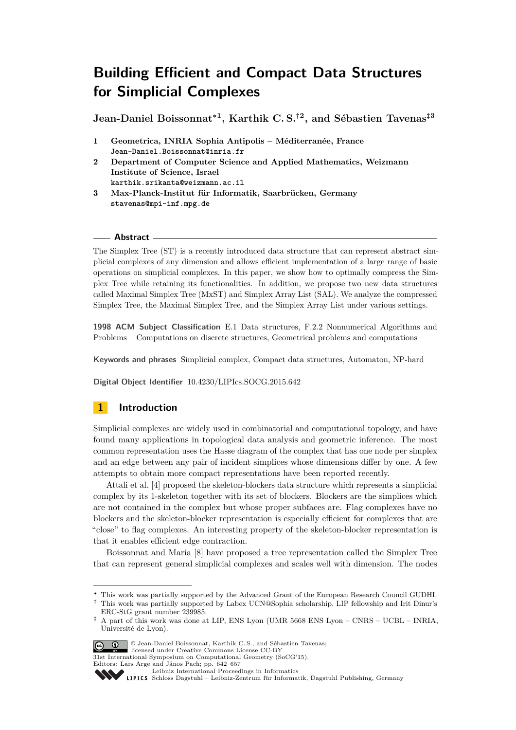**Jean-Daniel Boissonnat<sup>∗</sup><sup>1</sup> , Karthik C. S.†<sup>2</sup> , and Sébastien Tavenas‡<sup>3</sup>**

- **1 Geometrica, INRIA Sophia Antipolis Méditerranée, France Jean-Daniel.Boissonnat@inria.fr**
- **2 Department of Computer Science and Applied Mathematics, Weizmann Institute of Science, Israel karthik.srikanta@weizmann.ac.il**
- **3 Max-Planck-Institut für Informatik, Saarbrücken, Germany stavenas@mpi-inf.mpg.de**

#### **Abstract**

The Simplex Tree (ST) is a recently introduced data structure that can represent abstract simplicial complexes of any dimension and allows efficient implementation of a large range of basic operations on simplicial complexes. In this paper, we show how to optimally compress the Simplex Tree while retaining its functionalities. In addition, we propose two new data structures called Maximal Simplex Tree (MxST) and Simplex Array List (SAL). We analyze the compressed Simplex Tree, the Maximal Simplex Tree, and the Simplex Array List under various settings.

**1998 ACM Subject Classification** E.1 Data structures, F.2.2 Nonnumerical Algorithms and Problems – Computations on discrete structures, Geometrical problems and computations

**Keywords and phrases** Simplicial complex, Compact data structures, Automaton, NP-hard

**Digital Object Identifier** [10.4230/LIPIcs.SOCG.2015.642](http://dx.doi.org/10.4230/LIPIcs.SOCG.2015.642)

## **1 Introduction**

Simplicial complexes are widely used in combinatorial and computational topology, and have found many applications in topological data analysis and geometric inference. The most common representation uses the Hasse diagram of the complex that has one node per simplex and an edge between any pair of incident simplices whose dimensions differ by one. A few attempts to obtain more compact representations have been reported recently.

Attali et al. [\[4\]](#page-14-0) proposed the skeleton-blockers data structure which represents a simplicial complex by its 1-skeleton together with its set of blockers. Blockers are the simplices which are not contained in the complex but whose proper subfaces are. Flag complexes have no blockers and the skeleton-blocker representation is especially efficient for complexes that are "close" to flag complexes. An interesting property of the skeleton-blocker representation is that it enables efficient edge contraction.

Boissonnat and Maria [\[8\]](#page-14-1) have proposed a tree representation called the Simplex Tree that can represent general simplicial complexes and scales well with dimension. The nodes

**<sup>∗</sup>** This work was partially supported by the Advanced Grant of the European Research Council GUDHI. **†** This work was partially supported by Labex UCN@Sophia scholarship, LIP fellowship and Irit Dinur's

ERC-StG grant number 239985. **‡** A part of this work was done at LIP, ENS Lyon (UMR 5668 ENS Lyon – CNRS – UCBL – INRIA, Université de Lyon).

<sup>©</sup> Jean-Daniel Boissonnat, Karthik C. S., and Sébastien Tavenas; licensed under Creative Commons License CC-BY

<sup>31</sup>st International Symposium on Computational Geometry (SoCG'15). Editors: Lars Arge and János Pach; pp. 642[–657](#page-15-0)

[Leibniz International Proceedings in Informatics](http://www.dagstuhl.de/lipics/)

[Schloss Dagstuhl – Leibniz-Zentrum für Informatik, Dagstuhl Publishing, Germany](http://www.dagstuhl.de)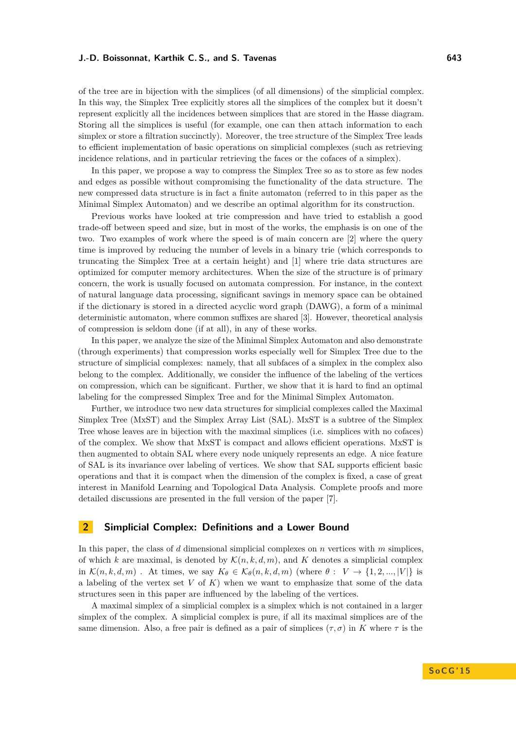of the tree are in bijection with the simplices (of all dimensions) of the simplicial complex. In this way, the Simplex Tree explicitly stores all the simplices of the complex but it doesn't represent explicitly all the incidences between simplices that are stored in the Hasse diagram. Storing all the simplices is useful (for example, one can then attach information to each simplex or store a filtration succinctly). Moreover, the tree structure of the Simplex Tree leads to efficient implementation of basic operations on simplicial complexes (such as retrieving incidence relations, and in particular retrieving the faces or the cofaces of a simplex).

In this paper, we propose a way to compress the Simplex Tree so as to store as few nodes and edges as possible without compromising the functionality of the data structure. The new compressed data structure is in fact a finite automaton (referred to in this paper as the Minimal Simplex Automaton) and we describe an optimal algorithm for its construction.

Previous works have looked at trie compression and have tried to establish a good trade-off between speed and size, but in most of the works, the emphasis is on one of the two. Two examples of work where the speed is of main concern are [\[2\]](#page-14-2) where the query time is improved by reducing the number of levels in a binary trie (which corresponds to truncating the Simplex Tree at a certain height) and [\[1\]](#page-14-3) where trie data structures are optimized for computer memory architectures. When the size of the structure is of primary concern, the work is usually focused on automata compression. For instance, in the context of natural language data processing, significant savings in memory space can be obtained if the dictionary is stored in a directed acyclic word graph (DAWG), a form of a minimal deterministic automaton, where common suffixes are shared [\[3\]](#page-14-4). However, theoretical analysis of compression is seldom done (if at all), in any of these works.

In this paper, we analyze the size of the Minimal Simplex Automaton and also demonstrate (through experiments) that compression works especially well for Simplex Tree due to the structure of simplicial complexes: namely, that all subfaces of a simplex in the complex also belong to the complex. Additionally, we consider the influence of the labeling of the vertices on compression, which can be significant. Further, we show that it is hard to find an optimal labeling for the compressed Simplex Tree and for the Minimal Simplex Automaton.

Further, we introduce two new data structures for simplicial complexes called the Maximal Simplex Tree (MxST) and the Simplex Array List (SAL). MxST is a subtree of the Simplex Tree whose leaves are in bijection with the maximal simplices (i.e. simplices with no cofaces) of the complex. We show that MxST is compact and allows efficient operations. MxST is then augmented to obtain SAL where every node uniquely represents an edge. A nice feature of SAL is its invariance over labeling of vertices. We show that SAL supports efficient basic operations and that it is compact when the dimension of the complex is fixed, a case of great interest in Manifold Learning and Topological Data Analysis. Complete proofs and more detailed discussions are presented in the full version of the paper [\[7\]](#page-14-5).

## <span id="page-1-0"></span>**2 Simplicial Complex: Definitions and a Lower Bound**

In this paper, the class of *d* dimensional simplicial complexes on *n* vertices with *m* simplices, of which *k* are maximal, is denoted by  $\mathcal{K}(n, k, d, m)$ , and *K* denotes a simplicial complex in  $\mathcal{K}(n, k, d, m)$ . At times, we say  $K_{\theta} \in \mathcal{K}_{\theta}(n, k, d, m)$  (where  $\theta : V \to \{1, 2, ..., |V|\}$  is a labeling of the vertex set *V* of *K*) when we want to emphasize that some of the data structures seen in this paper are influenced by the labeling of the vertices.

A maximal simplex of a simplicial complex is a simplex which is not contained in a larger simplex of the complex. A simplicial complex is pure, if all its maximal simplices are of the same dimension. Also, a free pair is defined as a pair of simplices  $(\tau, \sigma)$  in *K* where  $\tau$  is the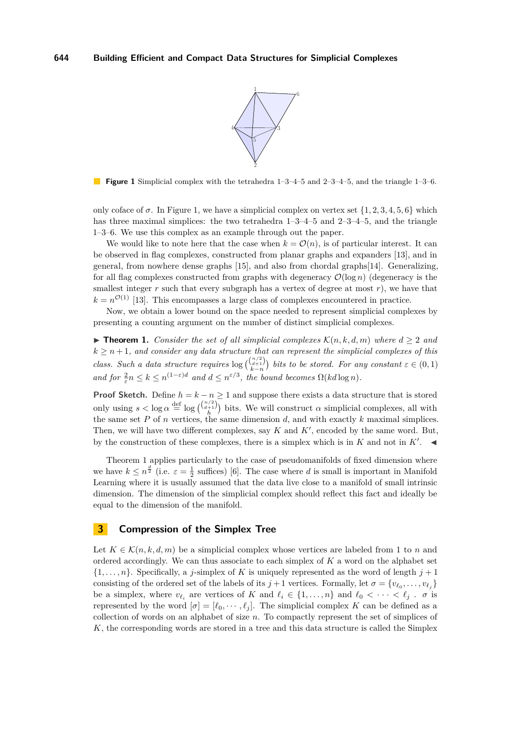

<span id="page-2-0"></span>**Figure 1** Simplicial complex with the tetrahedra 1–3–4–5 and 2–3–4–5, and the triangle 1–3–6.

only coface of  $\sigma$ . In Figure [1,](#page-2-0) we have a simplicial complex on vertex set  $\{1, 2, 3, 4, 5, 6\}$  which has three maximal simplices: the two tetrahedra 1–3–4–5 and 2–3–4–5, and the triangle 1–3–6. We use this complex as an example through out the paper.

We would like to note here that the case when  $k = \mathcal{O}(n)$ , is of particular interest. It can be observed in flag complexes, constructed from planar graphs and expanders [\[13\]](#page-14-6), and in general, from nowhere dense graphs [\[15\]](#page-14-7), and also from chordal graphs[\[14\]](#page-14-8). Generalizing, for all flag complexes constructed from graphs with degeneracy  $\mathcal{O}(\log n)$  (degeneracy is the smallest integer  $r$  such that every subgraph has a vertex of degree at most  $r$ ), we have that  $k = n^{\mathcal{O}(1)}$  [\[13\]](#page-14-6). This encompasses a large class of complexes encountered in practice.

Now, we obtain a lower bound on the space needed to represent simplicial complexes by presenting a counting argument on the number of distinct simplicial complexes.

<span id="page-2-1"></span>▶ **Theorem 1.** *Consider the set of all simplicial complexes*  $\mathcal{K}(n, k, d, m)$  *where*  $d > 2$  *and*  $k \geq n+1$ , and consider any data structure that can represent the simplicial complexes of this *class. Such a data structure requires*  $\log \binom{\binom{n}{2}}{k-n}$  *bits to be stored. For any constant*  $\varepsilon \in (0,1)$ *and for*  $\frac{2}{\varepsilon}n \leq k \leq n^{(1-\varepsilon)d}$  *and*  $d \leq n^{\varepsilon/3}$ *, the bound becomes*  $\Omega(kd \log n)$ *.* 

**Proof Sketch.** Define  $h = k - n \ge 1$  and suppose there exists a data structure that is stored only using  $s < \log \alpha \stackrel{\text{def}}{=} \log {\binom{\binom{n/2}{d+1}}{h}}$  bits. We will construct  $\alpha$  simplicial complexes, all with the same set *P* of *n* vertices, the same dimension *d*, and with exactly *k* maximal simplices. Then, we will have two different complexes, say  $K$  and  $K'$ , encoded by the same word. But, by the construction of these complexes, there is a simplex which is in  $K$  and not in  $K'$ .

Theorem [1](#page-2-1) applies particularly to the case of pseudomanifolds of fixed dimension where we have  $k \leq n^{\frac{d}{2}}$  (i.e.  $\varepsilon = \frac{1}{2}$  suffices) [\[6\]](#page-14-9). The case where *d* is small is important in Manifold Learning where it is usually assumed that the data live close to a manifold of small intrinsic dimension. The dimension of the simplicial complex should reflect this fact and ideally be equal to the dimension of the manifold.

## **3 Compression of the Simplex Tree**

Let  $K \in \mathcal{K}(n, k, d, m)$  be a simplicial complex whose vertices are labeled from 1 to *n* and ordered accordingly. We can thus associate to each simplex of *K* a word on the alphabet set  $\{1, \ldots, n\}$ . Specifically, a *j*-simplex of *K* is uniquely represented as the word of length  $j + 1$ consisting of the ordered set of the labels of its  $j + 1$  vertices. Formally, let  $\sigma = \{v_{\ell_0}, \ldots, v_{\ell_j}\}$ be a simplex, where  $v_{\ell_i}$  are vertices of  $K$  and  $\ell_i \in \{1, \ldots, n\}$  and  $\ell_0 < \cdots < \ell_j$ .  $\sigma$  is represented by the word  $[\sigma] = [\ell_0, \cdots, \ell_j]$ . The simplicial complex *K* can be defined as a collection of words on an alphabet of size *n*. To compactly represent the set of simplices of *K*, the corresponding words are stored in a tree and this data structure is called the Simplex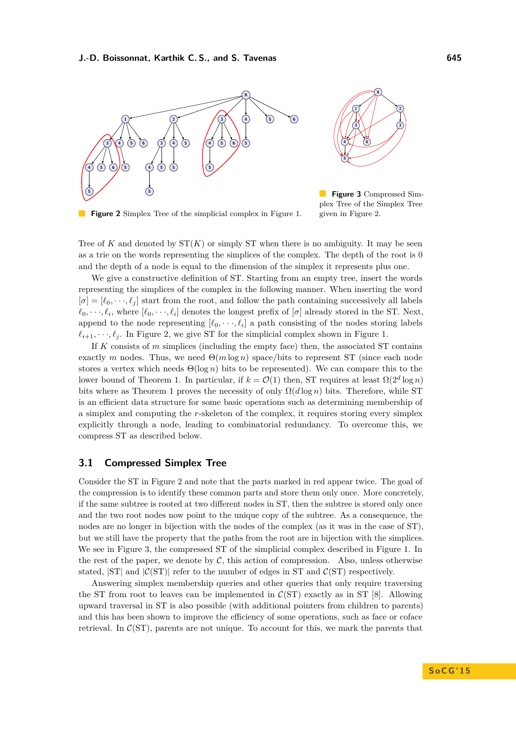<span id="page-3-0"></span>



**Figure 3** Compressed Simplex Tree of the Simplex Tree given in Figure [2.](#page-3-0)

**Figure 2** Simplex Tree of the simplicial complex in Figure [1.](#page-2-0)

Tree of K and denoted by  $ST(K)$  or simply ST when there is no ambiguity. It may be seen as a trie on the words representing the simplices of the complex. The depth of the root is 0 and the depth of a node is equal to the dimension of the simplex it represents plus one.

We give a constructive definition of ST. Starting from an empty tree, insert the words representing the simplices of the complex in the following manner. When inserting the word  $[\sigma] = [\ell_0, \cdots, \ell_i]$  start from the root, and follow the path containing successively all labels  $\ell_0, \dots, \ell_i$ , where  $[\ell_0, \dots, \ell_i]$  denotes the longest prefix of  $[\sigma]$  already stored in the ST. Next, append to the node representing  $[\ell_0, \dots, \ell_i]$  a path consisting of the nodes storing labels  $\ell_{i+1}, \dots, \ell_j$ . In Figure 2, we give ST for the simplicial complex shown in Figure [1.](#page-2-0)

If *K* consists of *m* simplices (including the empty face) then, the associated ST contains exactly *m* nodes. Thus, we need  $\Theta(m \log n)$  space/bits to represent ST (since each node stores a vertex which needs Θ(log *n*) bits to be represented). We can compare this to the lower bound of Theorem [1.](#page-2-1) In particular, if  $k = \mathcal{O}(1)$  then, ST requires at least  $\Omega(2^d \log n)$ bits where as Theorem [1](#page-2-1) proves the necessity of only  $\Omega(d \log n)$  bits. Therefore, while ST is an efficient data structure for some basic operations such as determining membership of a simplex and computing the *r*-skeleton of the complex, it requires storing every simplex explicitly through a node, leading to combinatorial redundancy. To overcome this, we compress ST as described below.

## <span id="page-3-1"></span>**3.1 Compressed Simplex Tree**

Consider the ST in Figure [2](#page-3-0) and note that the parts marked in red appear twice. The goal of the compression is to identify these common parts and store them only once. More concretely, if the same subtree is rooted at two different nodes in ST, then the subtree is stored only once and the two root nodes now point to the unique copy of the subtree. As a consequence, the nodes are no longer in bijection with the nodes of the complex (as it was in the case of ST), but we still have the property that the paths from the root are in bijection with the simplices. We see in Figure [3,](#page-3-0) the compressed ST of the simplicial complex described in Figure [1.](#page-2-0) In the rest of the paper, we denote by  $C$ , this action of compression. Also, unless otherwise stated,  $|ST|$  and  $|C(ST)|$  refer to the number of edges in ST and  $C(ST)$  respectively.

Answering simplex membership queries and other queries that only require traversing the ST from root to leaves can be implemented in  $\mathcal{C}(ST)$  exactly as in ST [\[8\]](#page-14-1). Allowing upward traversal in ST is also possible (with additional pointers from children to parents) and this has been shown to improve the efficiency of some operations, such as face or coface retrieval. In  $\mathcal{C}(\mathrm{ST})$ , parents are not unique. To account for this, we mark the parents that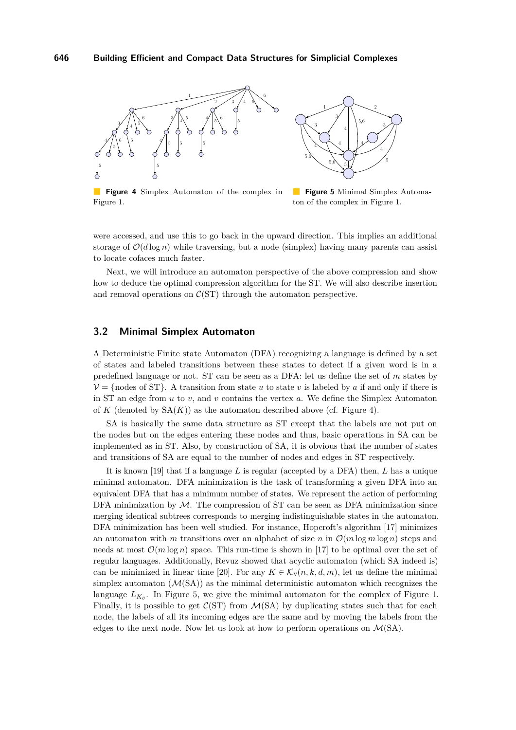<span id="page-4-0"></span>

**Figure 4** Simplex Automaton of the complex in Figure [1.](#page-2-0)

**Figure 5** Minimal Simplex Automaton of the complex in Figure [1.](#page-2-0)

3

5

were accessed, and use this to go back in the upward direction. This implies an additional storage of  $\mathcal{O}(d \log n)$  while traversing, but a node (simplex) having many parents can assist to locate cofaces much faster.

Next, we will introduce an automaton perspective of the above compression and show how to deduce the optimal compression algorithm for the ST. We will also describe insertion and removal operations on  $\mathcal{C}(ST)$  through the automaton perspective.

## **3.2 Minimal Simplex Automaton**

A Deterministic Finite state Automaton (DFA) recognizing a language is defined by a set of states and labeled transitions between these states to detect if a given word is in a predefined language or not. ST can be seen as a DFA: let us define the set of *m* states by  $V = \{$ nodes of ST $\}$ . A transition from state *u* to state *v* is labeled by *a* if and only if there is in ST an edge from *u* to *v*, and *v* contains the vertex *a*. We define the Simplex Automaton of  $K$  (denoted by  $SA(K)$ ) as the automaton described above (cf. Figure [4\)](#page-4-0).

SA is basically the same data structure as ST except that the labels are not put on the nodes but on the edges entering these nodes and thus, basic operations in SA can be implemented as in ST. Also, by construction of SA, it is obvious that the number of states and transitions of SA are equal to the number of nodes and edges in ST respectively.

It is known [\[19\]](#page-15-1) that if a language *L* is regular (accepted by a DFA) then, *L* has a unique minimal automaton. DFA minimization is the task of transforming a given DFA into an equivalent DFA that has a minimum number of states. We represent the action of performing DFA minimization by  $M$ . The compression of ST can be seen as DFA minimization since merging identical subtrees corresponds to merging indistinguishable states in the automaton. DFA minimization has been well studied. For instance, Hopcroft's algorithm [\[17\]](#page-14-10) minimizes an automaton with *m* transitions over an alphabet of size *n* in  $\mathcal{O}(m \log m \log n)$  steps and needs at most  $\mathcal{O}(m \log n)$  space. This run-time is shown in [\[17\]](#page-14-10) to be optimal over the set of regular languages. Additionally, Revuz showed that acyclic automaton (which SA indeed is) can be minimized in linear time [\[20\]](#page-15-2). For any  $K \in \mathcal{K}_{\theta}(n, k, d, m)$ , let us define the minimal simplex automaton  $(M(SA))$  as the minimal deterministic automaton which recognizes the language  $L_{K_{\theta}}$ . In Figure [5,](#page-4-0) we give the minimal automaton for the complex of Figure [1.](#page-2-0) Finally, it is possible to get  $\mathcal{C}(ST)$  from  $\mathcal{M}(SA)$  by duplicating states such that for each node, the labels of all its incoming edges are the same and by moving the labels from the edges to the next node. Now let us look at how to perform operations on  $\mathcal{M}(SA)$ .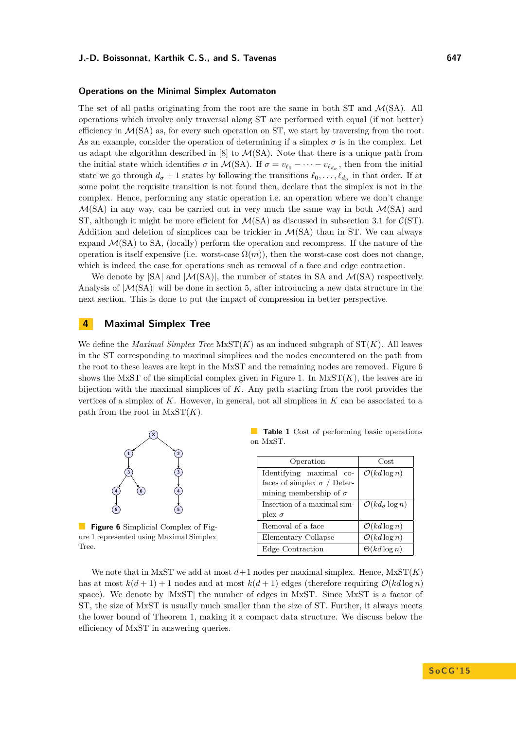#### **Operations on the Minimal Simplex Automaton**

The set of all paths originating from the root are the same in both ST and  $\mathcal{M}(SA)$ . All operations which involve only traversal along ST are performed with equal (if not better) efficiency in  $\mathcal{M}(SA)$  as, for every such operation on ST, we start by traversing from the root. As an example, consider the operation of determining if a simplex  $\sigma$  is in the complex. Let us adapt the algorithm described in  $[8]$  to  $\mathcal{M}(SA)$ . Note that there is a unique path from the initial state which identifies  $\sigma$  in  $\mathcal{M}(SA)$ . If  $\sigma = v_{\ell_0} - \cdots - v_{\ell_{d_{\sigma}}}$ , then from the initial state we go through  $d_{\sigma} + 1$  states by following the transitions  $\ell_0, \ldots, \ell_{d_{\sigma}}$  in that order. If at some point the requisite transition is not found then, declare that the simplex is not in the complex. Hence, performing any static operation i.e. an operation where we don't change  $\mathcal{M}(SA)$  in any way, can be carried out in very much the same way in both  $\mathcal{M}(SA)$  and ST, although it might be more efficient for  $\mathcal{M}(SA)$  as discussed in subsection [3.1](#page-3-1) for  $\mathcal{C}(ST)$ . Addition and deletion of simplices can be trickier in  $\mathcal{M}(SA)$  than in ST. We can always expand  $\mathcal{M}(SA)$  to SA, (locally) perform the operation and recompress. If the nature of the operation is itself expensive (i.e. worst-case  $\Omega(m)$ ), then the worst-case cost does not change, which is indeed the case for operations such as removal of a face and edge contraction.

We denote by  $|SA|$  and  $|\mathcal{M}(SA)|$ , the number of states in SA and  $\mathcal{M}(SA)$  respectively. Analysis of  $|\mathcal{M}(SA)|$  will be done in section [5,](#page-6-0) after introducing a new data structure in the next section. This is done to put the impact of compression in better perspective.

# **4 Maximal Simplex Tree**

We define the *Maximal Simplex Tree* MxST(*K*) as an induced subgraph of ST(*K*). All leaves in the ST corresponding to maximal simplices and the nodes encountered on the path from the root to these leaves are kept in the MxST and the remaining nodes are removed. Figure [6](#page-5-0) shows the MxST of the simplicial complex given in Figure [1.](#page-2-0) In  $MxST(K)$ , the leaves are in bijection with the maximal simplices of *K*. Any path starting from the root provides the vertices of a simplex of *K*. However, in general, not all simplices in *K* can be associated to a path from the root in  $MxST(K)$ .

<span id="page-5-0"></span>

**Figure 6** Simplicial Complex of Figure [1](#page-2-0) represented using Maximal Simplex Tree.

**Table 1** Cost of performing basic operations on MxST.

| Operation                          | Cost                               |  |  |  |  |
|------------------------------------|------------------------------------|--|--|--|--|
| Identifying maximal co-            | $\mathcal{O}(kd \log n)$           |  |  |  |  |
| faces of simplex $\sigma$ / Deter- |                                    |  |  |  |  |
| mining membership of $\sigma$      |                                    |  |  |  |  |
| Insertion of a maximal sim-        | $\mathcal{O}(k d_{\sigma} \log n)$ |  |  |  |  |
| plex $\sigma$                      |                                    |  |  |  |  |
| Removal of a face                  | $\mathcal{O}(kd \log n)$           |  |  |  |  |
| Elementary Collapse                | $\mathcal{O}(kd \log n)$           |  |  |  |  |
| Edge Contraction                   | $\Theta(kd \log n)$                |  |  |  |  |

We note that in MxST we add at most  $d+1$  nodes per maximal simplex. Hence,  $MxST(K)$ has at most  $k(d+1) + 1$  nodes and at most  $k(d+1)$  edges (therefore requiring  $\mathcal{O}(kd \log n)$ ) space). We denote by |MxST| the number of edges in MxST. Since MxST is a factor of ST, the size of MxST is usually much smaller than the size of ST. Further, it always meets the lower bound of Theorem [1,](#page-2-1) making it a compact data structure. We discuss below the efficiency of MxST in answering queries.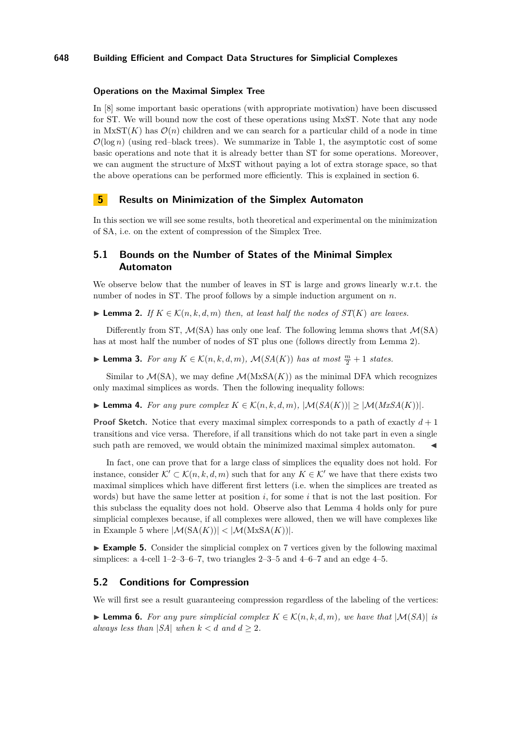#### **Operations on the Maximal Simplex Tree**

In [\[8\]](#page-14-1) some important basic operations (with appropriate motivation) have been discussed for ST. We will bound now the cost of these operations using MxST. Note that any node in  $MxST(K)$  has  $\mathcal{O}(n)$  children and we can search for a particular child of a node in time  $\mathcal{O}(\log n)$  (using red–black trees). We summarize in Table [1,](#page-5-0) the asymptotic cost of some basic operations and note that it is already better than ST for some operations. Moreover, we can augment the structure of MxST without paying a lot of extra storage space, so that the above operations can be performed more efficiently. This is explained in section [6.](#page-8-0)

## <span id="page-6-0"></span>**5 Results on Minimization of the Simplex Automaton**

In this section we will see some results, both theoretical and experimental on the minimization of SA, i.e. on the extent of compression of the Simplex Tree.

# **5.1 Bounds on the Number of States of the Minimal Simplex Automaton**

We observe below that the number of leaves in ST is large and grows linearly w.r.t. the number of nodes in ST. The proof follows by a simple induction argument on *n*.

<span id="page-6-1"></span>▶ **Lemma 2.** *If*  $K \in \mathcal{K}(n, k, d, m)$  *then, at least half the nodes of ST(K) are leaves.* 

Differently from ST,  $\mathcal{M}(SA)$  has only one leaf. The following lemma shows that  $\mathcal{M}(SA)$ has at most half the number of nodes of ST plus one (follows directly from Lemma [2\)](#page-6-1).

▶ **Lemma 3.** *For any*  $K \in \mathcal{K}(n, k, d, m)$ ,  $\mathcal{M}(SA(K))$  *has at most*  $\frac{m}{2} + 1$  *states.* 

Similar to  $\mathcal{M}(SA)$ , we may define  $\mathcal{M}(MxSA(K))$  as the minimal DFA which recognizes only maximal simplices as words. Then the following inequality follows:

<span id="page-6-2"></span>► Lemma 4. For any pure complex  $K \in \mathcal{K}(n, k, d, m)$ ,  $|\mathcal{M}(SA(K))| \geq |\mathcal{M}(MxSA(K))|$ .

**Proof Sketch.** Notice that every maximal simplex corresponds to a path of exactly  $d+1$ transitions and vice versa. Therefore, if all transitions which do not take part in even a single such path are removed, we would obtain the minimized maximal simplex automaton.

In fact, one can prove that for a large class of simplices the equality does not hold. For instance, consider  $K' \subset \mathcal{K}(n, k, d, m)$  such that for any  $K \in \mathcal{K}'$  we have that there exists two maximal simplices which have different first letters (i.e. when the simplices are treated as words) but have the same letter at position *i*, for some *i* that is not the last position. For this subclass the equality does not hold. Observe also that Lemma [4](#page-6-2) holds only for pure simplicial complexes because, if all complexes were allowed, then we will have complexes like in Example [5](#page-6-3) where  $|\mathcal{M}(SA(K))| < |\mathcal{M}(MxSA(K))|$ .

<span id="page-6-3"></span>**Example 5.** Consider the simplicial complex on 7 vertices given by the following maximal simplices: a 4-cell 1-2-3-6-7, two triangles 2-3-5 and 4-6-7 and an edge 4-5.

## **5.2 Conditions for Compression**

We will first see a result guaranteeing compression regardless of the labeling of the vertices:

<span id="page-6-4"></span>► **Lemma 6.** For any pure simplicial complex  $K \in \mathcal{K}(n, k, d, m)$ , we have that  $|\mathcal{M}(SA)|$  is *always less than* |*SA*| *when*  $k < d$  *and*  $d \geq 2$ *.*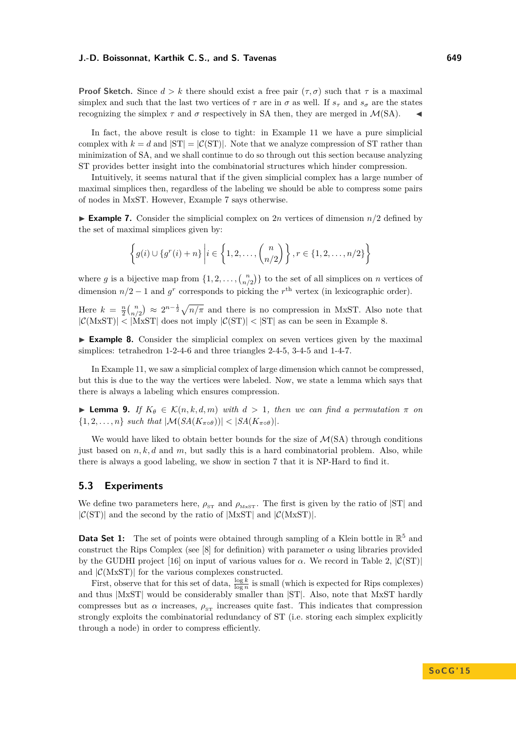**Proof Sketch.** Since  $d > k$  there should exist a free pair  $(\tau, \sigma)$  such that  $\tau$  is a maximal simplex and such that the last two vertices of  $\tau$  are in  $\sigma$  as well. If  $s_{\tau}$  and  $s_{\sigma}$  are the states recognizing the simplex  $τ$  and  $σ$  respectively in SA then, they are merged in  $\mathcal{M}(SA)$ .

In fact, the above result is close to tight: in Example [11](#page-10-0) we have a pure simplicial complex with  $k = d$  and  $|ST| = |\mathcal{C}(ST)|$ . Note that we analyze compression of ST rather than minimization of SA, and we shall continue to do so through out this section because analyzing ST provides better insight into the combinatorial structures which hinder compression.

Intuitively, it seems natural that if the given simplicial complex has a large number of maximal simplices then, regardless of the labeling we should be able to compress some pairs of nodes in MxST. However, Example [7](#page-7-0) says otherwise.

<span id="page-7-0"></span>**Example 7.** Consider the simplicial complex on 2*n* vertices of dimension  $n/2$  defined by the set of maximal simplices given by:

$$
\left\{ g(i) \cup \{ g^r(i) + n \} \middle| i \in \left\{ 1, 2, \dots, \binom{n}{n/2} \right\}, r \in \{1, 2, \dots, n/2 \} \right\}
$$

where *g* is a bijective map from  $\{1, 2, \ldots, {n \choose n/2}\}$  to the set of all simplices on *n* vertices of dimension  $n/2 - 1$  and  $g<sup>r</sup>$  corresponds to picking the  $r<sup>th</sup>$  vertex (in lexicographic order).

Here  $k = \frac{n}{2} {n \choose n/2} \approx 2^{n-\frac{1}{2}} \sqrt{n/\pi}$  and there is no compression in MxST. Also note that  $|\mathcal{C}(MxST)| < |MxST|$  does not imply  $|\mathcal{C}(ST)| < |ST|$  as can be seen in Example [8.](#page-7-1)

<span id="page-7-1"></span>► **Example 8.** Consider the simplicial complex on seven vertices given by the maximal simplices: tetrahedron 1-2-4-6 and three triangles 2-4-5, 3-4-5 and 1-4-7.

In Example [11,](#page-10-0) we saw a simplicial complex of large dimension which cannot be compressed, but this is due to the way the vertices were labeled. Now, we state a lemma which says that there is always a labeling which ensures compression.

 $\blacktriangleright$  **Lemma 9.** *If*  $K_{\theta} \in K(n, k, d, m)$  *with d* > 1*, then we can find a permutation* π *on*  $\{1, 2, \ldots, n\}$  *such that*  $|\mathcal{M}(SA(K_{\pi \circ \theta}))| < |SA(K_{\pi \circ \theta})|$ .

We would have liked to obtain better bounds for the size of  $\mathcal{M}(SA)$  through conditions just based on *n, k, d* and *m*, but sadly this is a hard combinatorial problem. Also, while there is always a good labeling, we show in section [7](#page-13-0) that it is NP-Hard to find it.

### <span id="page-7-2"></span>**5.3 Experiments**

We define two parameters here,  $\rho_{ST}$  and  $\rho_{MxST}$ . The first is given by the ratio of  $ST|$  and  $|\mathcal{C}(ST)|$  and the second by the ratio of  $|MxST|$  and  $|\mathcal{C}(MxST)|$ .

**Data Set 1:** The set of points were obtained through sampling of a Klein bottle in  $\mathbb{R}^5$  and construct the Rips Complex (see [\[8\]](#page-14-1) for definition) with parameter  $\alpha$  using libraries provided by the GUDHI project [\[16\]](#page-14-11) on input of various values for  $\alpha$ . We record in Table [2,](#page-8-1)  $|C(ST)|$ and  $|C(MxST)|$  for the various complexes constructed.

First, observe that for this set of data,  $\frac{\log k}{\log n}$  is small (which is expected for Rips complexes) and thus |MxST| would be considerably smaller than |ST|. Also, note that MxST hardly compresses but as  $\alpha$  increases,  $\rho_{ST}$  increases quite fast. This indicates that compression strongly exploits the combinatorial redundancy of ST (i.e. storing each simplex explicitly through a node) in order to compress efficiently.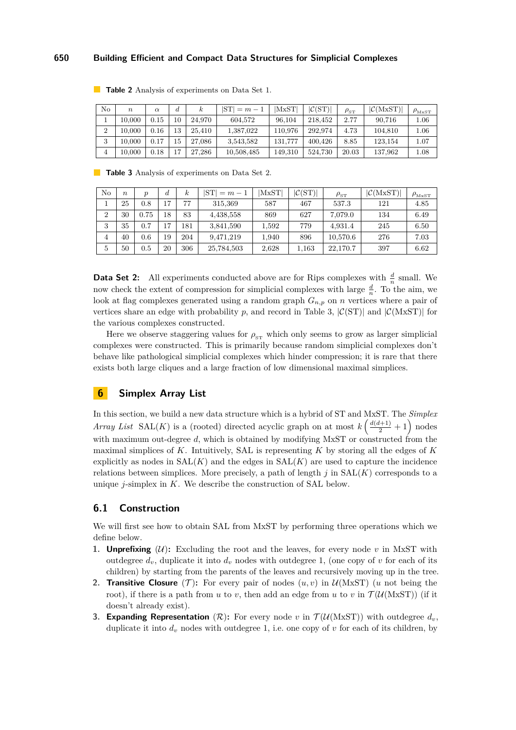| No             | $\boldsymbol{n}$ | $\alpha$ | d  | κ      | $ ST  = m - 1$ | MxST    | C(ST)   | $\rho_{\scriptscriptstyle\rm ST}$ | C(MxST) | $\rho_{\scriptscriptstyle\rm{MxST}}$ |
|----------------|------------------|----------|----|--------|----------------|---------|---------|-----------------------------------|---------|--------------------------------------|
|                | 10.000           | 0.15     | 10 | 24.970 | 604,572        | 96.104  | 218.452 | 2.77                              | 90.716  | $1.06\,$                             |
| $\overline{2}$ | 10.000           | 0.16     | 13 | 25.410 | 1,387,022      | 110.976 | 292.974 | 4.73                              | 104.810 | $1.06\,$                             |
| 3              | 10.000           | 0.17     | 15 | 27.086 | 3,543,582      | 131.777 | 400.426 | 8.85                              | 123.154 | 1.07                                 |
| 4              | 10.000           | 0.18     | 17 | 27.286 | 10,508,485     | 149,310 | 524.730 | 20.03                             | 137,962 | 1.08                                 |

<span id="page-8-1"></span>**Table 2** Analysis of experiments on Data Set 1.

<span id="page-8-2"></span>**Table 3** Analysis of experiments on Data Set 2.

| No             | $\boldsymbol{n}$ | $\boldsymbol{\eta}$ |    | $\kappa$ | <b>IST</b><br>$= m - 1$ | MxST  | $ \mathcal{C}(\operatorname{ST}) $ | $\rho_{_{\rm ST}}$ | C(MxST) | $\rho_{\text{MxST}}$ |
|----------------|------------------|---------------------|----|----------|-------------------------|-------|------------------------------------|--------------------|---------|----------------------|
|                | 25               | 0.8                 | 17 | 77       | 315,369                 | 587   | 467                                | 537.3              | 121     | 4.85                 |
| $\overline{2}$ | 30               | 0.75                | 18 | 83       | 4,438,558               | 869   | 627                                | 7,079.0            | 134     | 6.49                 |
| 3              | 35               | 0.7                 | 17 | 181      | 3,841,590               | 1,592 | 779                                | 4,931.4            | 245     | 6.50                 |
| 4              | 40               | $0.6\,$             | 19 | 204      | 9,471,219               | 1.940 | 896                                | 10,570.6           | 276     | 7.03                 |
| 5              | 50               | 0.5                 | 20 | 306      | 25,784,503              | 2.628 | $1.163\,$                          | 22,170.7           | 397     | 6.62                 |

**Data Set 2:** All experiments conducted above are for Rips complexes with  $\frac{d}{n}$  small. We now check the extent of compression for simplicial complexes with large  $\frac{d}{n}$ . To the aim, we look at flag complexes generated using a random graph  $G_{n,p}$  on *n* vertices where a pair of vertices share an edge with probability p, and record in Table [3,](#page-8-2)  $|C(ST)|$  and  $|C(MxST)|$  for the various complexes constructed.

Here we observe staggering values for  $\rho_{ST}$  which only seems to grow as larger simplicial complexes were constructed. This is primarily because random simplicial complexes don't behave like pathological simplicial complexes which hinder compression; it is rare that there exists both large cliques and a large fraction of low dimensional maximal simplices.

## <span id="page-8-0"></span>**6 Simplex Array List**

In this section, we build a new data structure which is a hybrid of ST and MxST. The *Simplex Array List* SAL(*K*) is a (rooted) directed acyclic graph on at most  $k\left(\frac{d(d+1)}{2}+1\right)$  nodes with maximum out-degree *d*, which is obtained by modifying MxST or constructed from the maximal simplices of *K*. Intuitively, SAL is representing *K* by storing all the edges of *K* explicitly as nodes in  $SAL(K)$  and the edges in  $SAL(K)$  are used to capture the incidence relations between simplices. More precisely, a path of length  $j$  in  $SAL(K)$  corresponds to a unique *j*-simplex in *K*. We describe the construction of SAL below.

## **6.1 Construction**

We will first see how to obtain SAL from MxST by performing three operations which we define below.

- **1. Unprefixing** ( $U$ ): Excluding the root and the leaves, for every node  $v$  in MxST with outdegree  $d_v$ , duplicate it into  $d_v$  nodes with outdegree 1, (one copy of v for each of its children) by starting from the parents of the leaves and recursively moving up in the tree.
- **2. Transitive Closure** (*T*): For every pair of nodes  $(u, v)$  in  $\mathcal{U}(MxST)$  (*u* not being the root), if there is a path from *u* to *v*, then add an edge from *u* to *v* in  $\mathcal{T}(\mathcal{U}(MxST))$  (if it doesn't already exist).
- **3. Expanding Representation**  $(\mathcal{R})$ : For every node *v* in  $\mathcal{T}(\mathcal{U}(\text{MxST}))$  with outdegree  $d_v$ , duplicate it into  $d_v$  nodes with outdegree 1, i.e. one copy of  $v$  for each of its children, by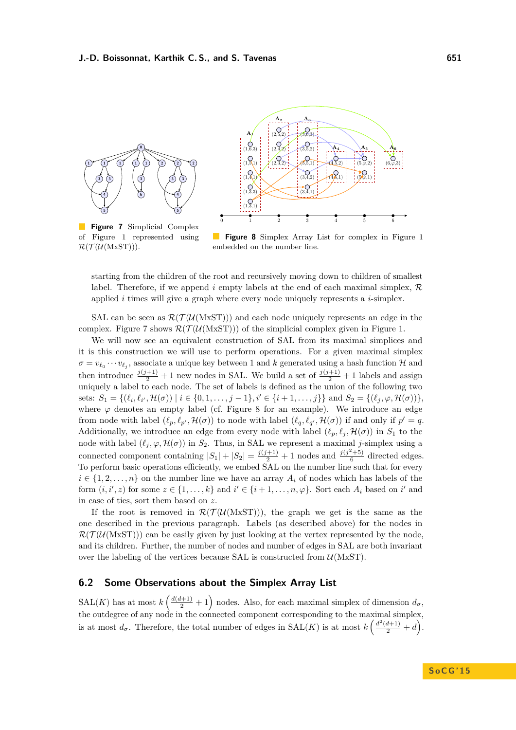<span id="page-9-0"></span>

**Figure 7** Simplicial Complex of Figure [1](#page-2-0) represented using  $\mathcal{R}(\mathcal{T}(\mathcal{U}(\text{MxST}))).$ 



**Figure 8** Simplex Array List for complex in Figure [1](#page-2-0) embedded on the number line.

starting from the children of the root and recursively moving down to children of smallest label. Therefore, if we append  $i$  empty labels at the end of each maximal simplex,  $\mathcal{R}$ applied *i* times will give a graph where every node uniquely represents a *i*-simplex.

SAL can be seen as  $\mathcal{R}(\mathcal{T}(\mathcal{U}(MxST)))$  and each node uniquely represents an edge in the complex. Figure [7](#page-9-0) shows  $\mathcal{R}(\mathcal{T}(\mathcal{U}(MxST)))$  of the simplicial complex given in Figure [1.](#page-2-0)

We will now see an equivalent construction of SAL from its maximal simplices and it is this construction we will use to perform operations. For a given maximal simplex  $\sigma = v_{\ell_0} \cdots v_{\ell_j}$ , associate a unique key between 1 and *k* generated using a hash function  $\mathcal{H}$  and then introduce  $\frac{j(j+1)}{2} + 1$  new nodes in SAL. We build a set of  $\frac{j(j+1)}{2} + 1$  labels and assign uniquely a label to each node. The set of labels is defined as the union of the following two sets:  $S_1 = \{(\ell_i, \ell_{i'}, \mathcal{H}(\sigma)) \mid i \in \{0, 1, ..., j-1\}, i' \in \{i+1, ..., j\}\}\$ and  $S_2 = \{(\ell_j, \varphi, \mathcal{H}(\sigma))\},$ where  $\varphi$  denotes an empty label (cf. Figure [8](#page-9-0) for an example). We introduce an edge from node with label  $(\ell_p, \ell_{p'}, \mathcal{H}(\sigma))$  to node with label  $(\ell_q, \ell_{q'}, \mathcal{H}(\sigma))$  if and only if  $p' = q$ . Additionally, we introduce an edge from every node with label  $(\ell_p, \ell_j, \mathcal{H}(\sigma))$  in  $S_1$  to the node with label  $(\ell_j, \varphi, \mathcal{H}(\sigma))$  in  $S_2$ . Thus, in SAL we represent a maximal *j*-simplex using a connected component containing  $|S_1| + |S_2| = \frac{j(j+1)}{2} + 1$  nodes and  $\frac{j(j^2+5)}{6}$  $rac{+5j}{6}$  directed edges. To perform basic operations efficiently, we embed SAL on the number line such that for every  $i \in \{1, 2, \ldots, n\}$  on the number line we have an array  $A_i$  of nodes which has labels of the form  $(i, i', z)$  for some  $z \in \{1, \ldots, k\}$  and  $i' \in \{i+1, \ldots, n, \varphi\}$ . Sort each  $A_i$  based on  $i'$  and in case of ties, sort them based on *z*.

If the root is removed in  $\mathcal{R}(\mathcal{T}(U(MxST)))$ , the graph we get is the same as the one described in the previous paragraph. Labels (as described above) for the nodes in  $\mathcal{R}(\mathcal{T}(\mathcal{U}(M \times S T)))$  can be easily given by just looking at the vertex represented by the node, and its children. Further, the number of nodes and number of edges in SAL are both invariant over the labeling of the vertices because SAL is constructed from  $U(MxST)$ .

## **6.2 Some Observations about the Simplex Array List**

 $SAL(K)$  has at most  $k\left(\frac{d(d+1)}{2}+1\right)$  nodes. Also, for each maximal simplex of dimension  $d_{\sigma}$ , the outdegree of any node in the connected component corresponding to the maximal simplex, is at most  $d_{\sigma}$ . Therefore, the total number of edges in  $SAL(K)$  is at most  $k\left(\frac{d^{2}(d+1)}{2}+d\right)$ .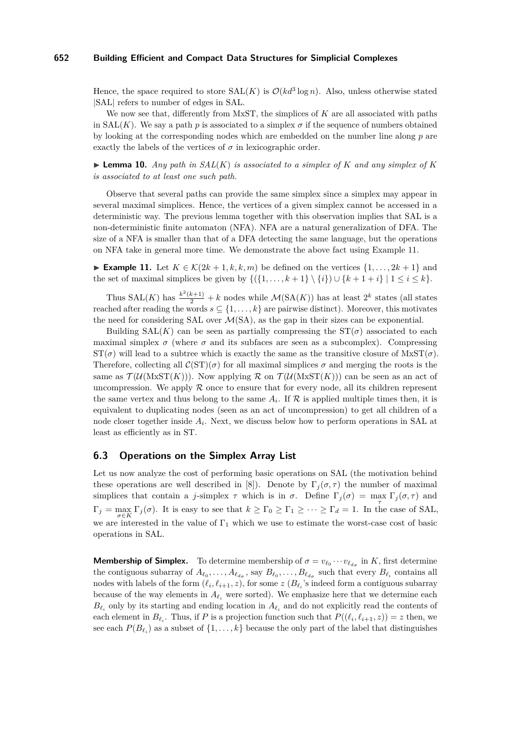Hence, the space required to store  $SAL(K)$  is  $\mathcal{O}(kd^3 \log n)$ . Also, unless otherwise stated |SAL| refers to number of edges in SAL.

We now see that, differently from MxST, the simplices of *K* are all associated with paths in SAL(*K*). We say a path *p* is associated to a simplex  $\sigma$  if the sequence of numbers obtained by looking at the corresponding nodes which are embedded on the number line along *p* are exactly the labels of the vertices of  $\sigma$  in lexicographic order.

<span id="page-10-1"></span> $\blacktriangleright$  **Lemma 10.** Any path in SAL(K) is associated to a simplex of K and any simplex of K *is associated to at least one such path.*

Observe that several paths can provide the same simplex since a simplex may appear in several maximal simplices. Hence, the vertices of a given simplex cannot be accessed in a deterministic way. The previous lemma together with this observation implies that SAL is a non-deterministic finite automaton (NFA). NFA are a natural generalization of DFA. The size of a NFA is smaller than that of a DFA detecting the same language, but the operations on NFA take in general more time. We demonstrate the above fact using Example [11.](#page-10-0)

<span id="page-10-0"></span>► **Example 11.** Let  $K \in \mathcal{K}(2k+1,k,k,m)$  be defined on the vertices  $\{1,\ldots,2k+1\}$  and the set of maximal simplices be given by  $\{(\{1, \ldots, k+1\} \setminus \{i\}) \cup \{k+1+i\} \mid 1 \leq i \leq k\}.$ 

Thus  $\text{SAL}(K)$  has  $\frac{k^2(k+1)}{2} + k$  nodes while  $\mathcal{M}(\text{SA}(K))$  has at least  $2^k$  states (all states reached after reading the words  $s \subseteq \{1, \ldots, k\}$  are pairwise distinct). Moreover, this motivates the need for considering SAL over  $\mathcal{M}(SA)$ , as the gap in their sizes can be exponential.

Building  $SAL(K)$  can be seen as partially compressing the  $ST(\sigma)$  associated to each maximal simplex  $\sigma$  (where  $\sigma$  and its subfaces are seen as a subcomplex). Compressing  $ST(\sigma)$  will lead to a subtree which is exactly the same as the transitive closure of  $MxST(\sigma)$ . Therefore, collecting all  $\mathcal{C}(\mathrm{ST})(\sigma)$  for all maximal simplices  $\sigma$  and merging the roots is the same as  $\mathcal{T}(\mathcal{U}(\text{MxST}(K)))$ . Now applying  $\mathcal{R}$  on  $\mathcal{T}(\mathcal{U}(\text{MxST}(K)))$  can be seen as an act of uncompression. We apply  $R$  once to ensure that for every node, all its children represent the same vertex and thus belong to the same  $A_i$ . If  $\mathcal R$  is applied multiple times then, it is equivalent to duplicating nodes (seen as an act of uncompression) to get all children of a node closer together inside  $A_i$ . Next, we discuss below how to perform operations in SAL at least as efficiently as in ST.

## **6.3 Operations on the Simplex Array List**

Let us now analyze the cost of performing basic operations on SAL (the motivation behind these operations are well described in [\[8\]](#page-14-1)). Denote by  $\Gamma_i(\sigma, \tau)$  the number of maximal simplices that contain a *j*-simplex  $\tau$  which is in  $\sigma$ . Define  $\Gamma_j(\sigma) = \max \Gamma_j(\sigma, \tau)$  and  $\Gamma_j = \max_{\sigma \in K} \Gamma_j(\sigma)$ . It is easy to see that  $k \geq \Gamma_0 \geq \Gamma_1 \geq \cdots \geq \Gamma_d = 1$ . In the case of SAL, we are interested in the value of  $\Gamma_1$  which we use to estimate the worst-case cost of basic operations in SAL.

**Membership of Simplex.** To determine membership of  $\sigma = v_{\ell_0} \cdots v_{\ell_{d_{\sigma}}}$  in *K*, first determine the contiguous subarray of  $A_{\ell_0}, \ldots, A_{\ell_{d_{\sigma}}}$ , say  $B_{\ell_0}, \ldots, B_{\ell_{d_{\sigma}}}$  such that every  $B_{\ell_i}$  contains all nodes with labels of the form  $(\ell_i, \ell_{i+1}, z)$ , for some  $z$  ( $B_{\ell_i}$ 's indeed form a contiguous subarray because of the way elements in  $A_{\ell_i}$  were sorted). We emphasize here that we determine each  $B_{\ell_i}$  only by its starting and ending location in  $A_{\ell_i}$  and do not explicitly read the contents of each element in  $B_{\ell_i}$ . Thus, if *P* is a projection function such that  $P((\ell_i, \ell_{i+1}, z)) = z$  then, we see each  $P(B_{\ell_i})$  as a subset of  $\{1, \ldots, k\}$  because the only part of the label that distinguishes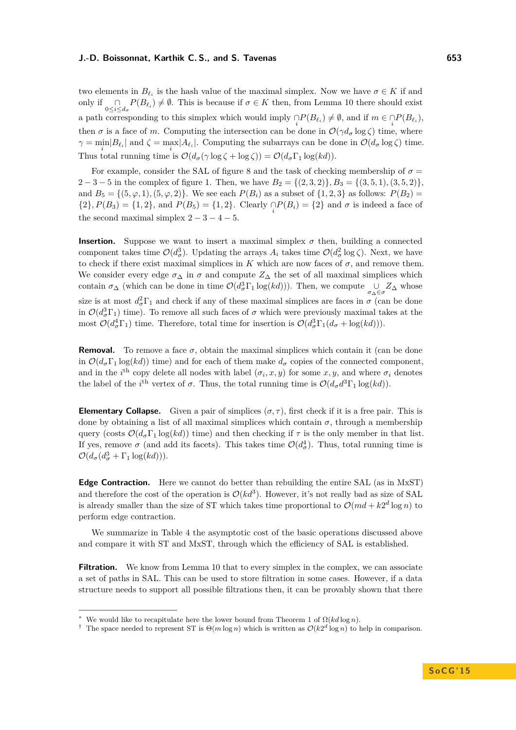two elements in  $B_{\ell_i}$  is the hash value of the maximal simplex. Now we have  $\sigma \in K$  if and only if  $\bigcap_{0 \leq i \leq d_{\sigma}} P(B_{\ell_i}) \neq \emptyset$ . This is because if  $\sigma \in K$  then, from Lemma [10](#page-10-1) there should exist a path corresponding to this simplex which would imply  $\cap P(B_{\ell_i}) \neq \emptyset$ , and if  $m \in \cap P(B_{\ell_i})$ , then *σ* is a face of *m*. Computing the intersection can be done in  $\mathcal{O}(\gamma d_{\sigma} \log \zeta)$  time, where  $\gamma = \min |B_{\ell_i}|$  and  $\zeta = \max |A_{\ell_i}|$ . Computing the subarrays can be done in  $\mathcal{O}(d_{\sigma} \log \zeta)$  time. Thus total running time is  $\mathcal{O}(d_{\sigma}(\gamma \log \zeta + \log \zeta)) = \mathcal{O}(d_{\sigma} \Gamma_1 \log(kd)).$ 

For example, consider the SAL of figure [8](#page-9-0) and the task of checking membership of  $\sigma =$ 2 − 3 − 5 in the complex of figure [1.](#page-2-0) Then, we have  $B_2 = \{(2,3,2)\}, B_3 = \{(3,5,1), (3,5,2)\}\,$ and  $B_5 = \{(5, \varphi, 1), (5, \varphi, 2)\}.$  We see each  $P(B_i)$  as a subset of  $\{1, 2, 3\}$  as follows:  $P(B_2) =$  $\{2\}, P(B_3) = \{1, 2\}, \text{ and } P(B_5) = \{1, 2\}.$  Clearly  $\bigcap_i P(B_i) = \{2\}$  and  $\sigma$  is indeed a face of the second maximal simplex  $2-3-4-5$ .

**Insertion.** Suppose we want to insert a maximal simplex  $\sigma$  then, building a connected component takes time  $\mathcal{O}(d_{\sigma}^3)$ . Updating the arrays  $A_i$  takes time  $\mathcal{O}(d_{\sigma}^2 \log \zeta)$ . Next, we have to check if there exist maximal simplices in  $K$  which are now faces of  $\sigma$ , and remove them. We consider every edge  $\sigma_{\Delta}$  in  $\sigma$  and compute  $Z_{\Delta}$  the set of all maximal simplices which contain  $\sigma_{\Delta}$  (which can be done in time  $\mathcal{O}(d^3_{\sigma} \Gamma_1 \log(kd))$ ). Then, we compute  $\bigcup_{\sigma_{\Delta} \in \sigma} Z_{\Delta}$  whose size is at most  $d_{\sigma}^2 \Gamma_1$  and check if any of these maximal simplices are faces in  $\sigma$  (can be done in  $\mathcal{O}(d_{\sigma}^3\Gamma_1)$  time). To remove all such faces of  $\sigma$  which were previously maximal takes at the most  $\mathcal{O}(d_{\sigma}^4 \Gamma_1)$  time. Therefore, total time for insertion is  $\mathcal{O}(d_{\sigma}^3 \Gamma_1(d_{\sigma} + \log(kd)))$ .

**Removal.** To remove a face  $\sigma$ , obtain the maximal simplices which contain it (can be done in  $\mathcal{O}(d_{\sigma}\Gamma_1 \log(kd))$  time) and for each of them make  $d_{\sigma}$  copies of the connected component, and in the *i*<sup>th</sup> copy delete all nodes with label  $(\sigma_i, x, y)$  for some  $x, y$ , and where  $\sigma_i$  denotes the label of the *i*<sup>th</sup> vertex of  $\sigma$ . Thus, the total running time is  $\mathcal{O}(d_{\sigma}d^3\Gamma_1 \log(kd))$ .

**Elementary Collapse.** Given a pair of simplices  $(\sigma, \tau)$ , first check if it is a free pair. This is done by obtaining a list of all maximal simplices which contain  $\sigma$ , through a membership query (costs  $\mathcal{O}(d_{\sigma}\Gamma_1 \log(kd))$ ) time) and then checking if  $\tau$  is the only member in that list. If yes, remove  $\sigma$  (and add its facets). This takes time  $\mathcal{O}(d^4_\sigma)$ . Thus, total running time is  $\mathcal{O}(d_{\sigma}(d_{\sigma}^3 + \Gamma_1 \log(kd))).$ 

**Edge Contraction.** Here we cannot do better than rebuilding the entire SAL (as in MxST) and therefore the cost of the operation is  $\mathcal{O}(kd^3)$ . However, it's not really bad as size of SAL is already smaller than the size of ST which takes time proportional to  $\mathcal{O}(md + k2^d \log n)$  to perform edge contraction.

We summarize in Table [4](#page-12-0) the asymptotic cost of the basic operations discussed above and compare it with ST and MxST, through which the efficiency of SAL is established.

**Filtration.** We know from Lemma [10](#page-10-1) that to every simplex in the complex, we can associate a set of paths in SAL. This can be used to store filtration in some cases. However, if a data structure needs to support all possible filtrations then, it can be provably shown that there

<span id="page-11-0"></span>We would like to recapitulate here the lower bound from Theorem [1](#page-2-1) of  $\Omega(kd \log n)$ .

<span id="page-11-1"></span><sup>&</sup>lt;sup>†</sup> The space needed to represent ST is  $\Theta(m \log n)$  which is written as  $\mathcal{O}(k2^d \log n)$  to help in comparison.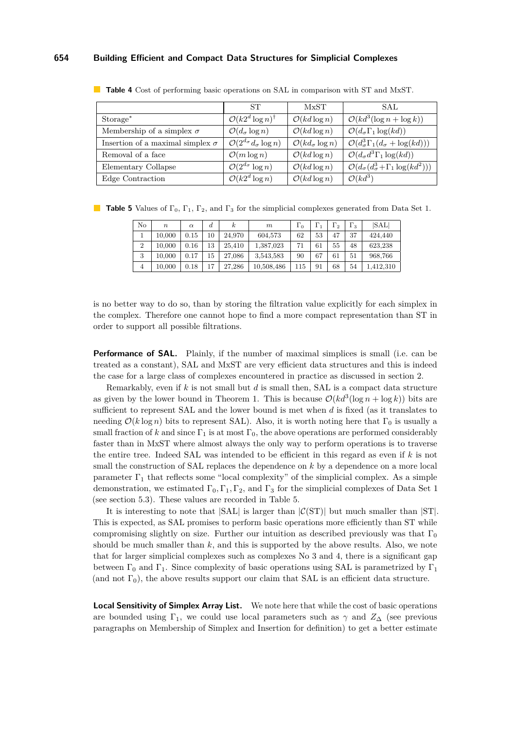|                                         | ST                                            | MxST                               | <b>SAL</b>                                                  |
|-----------------------------------------|-----------------------------------------------|------------------------------------|-------------------------------------------------------------|
| Storage <sup>*</sup>                    | $\mathcal{O}(k2^d \log n)^\dagger$            | $\mathcal{O}(kd \log n)$           | $\mathcal{O}(kd^3(\log n + \log k))$                        |
| Membership of a simplex $\sigma$        | $\mathcal{O}(d_{\sigma} \log n)$              | $\mathcal{O}(kd \log n)$           | $\mathcal{O}(d_{\sigma}\Gamma_1\log(kd))$                   |
| Insertion of a maximal simplex $\sigma$ | $\mathcal{O}(2^{d_{\sigma}}d_{\sigma}\log n)$ | $\mathcal{O}(k d_{\sigma} \log n)$ | $\mathcal{O}(d_{\sigma}^3\Gamma_1(d_{\sigma}+\log(kd)))$    |
| Removal of a face                       | $\mathcal{O}(m \log n)$                       | $\mathcal{O}(kd \log n)$           | $\mathcal{O}(d_{\sigma}d^3\Gamma_1\log(kd))$                |
| Elementary Collapse                     | $\mathcal{O}(2^{d_{\sigma}} \log n)$          | $\mathcal{O}(kd \log n)$           | $\mathcal{O}(d_{\sigma}(d_{\sigma}^3+\Gamma_1 \log(kd^2)))$ |
| Edge Contraction                        | $\mathcal{O}(k2^d \log n)$                    | $\mathcal{O}(kd \log n)$           | $\mathcal{O}(kd^3)$                                         |

<span id="page-12-0"></span>**Table 4** Cost of performing basic operations on SAL in comparison with ST and MxST.

<span id="page-12-1"></span>**Table 5** Values of Γ<sub>0</sub>, Γ<sub>1</sub>, Γ<sub>2</sub>, and Γ<sub>3</sub> for the simplicial complexes generated from Data Set 1.

| No             | $\boldsymbol{n}$ | $\alpha$ | d.  | $\kappa$ | m          | $\Gamma_0$ |    |    | $\Gamma_3$ | SAL       |
|----------------|------------------|----------|-----|----------|------------|------------|----|----|------------|-----------|
|                | 10,000           | 0.15     | 10  | 24,970   | 604,573    | 62         | 53 | 47 | 37         | 424.440   |
| $\overline{2}$ | 10,000           | 0.16     | 13  | 25.410   | 1,387,023  | 71         | 61 | 55 | 48         | 623,238   |
| 3              | 10,000           | 0.17     | 15. | 27,086   | 3,543,583  | 90         | 67 | 61 | 51         | 968,766   |
| $\overline{4}$ | 10,000           | 0.18     | 17  | 27.286   | 10,508,486 | 115        | 91 | 68 | 54         | 1,412,310 |

is no better way to do so, than by storing the filtration value explicitly for each simplex in the complex. Therefore one cannot hope to find a more compact representation than ST in order to support all possible filtrations.

**Performance of SAL.** Plainly, if the number of maximal simplices is small (i.e. can be treated as a constant), SAL and MxST are very efficient data structures and this is indeed the case for a large class of complexes encountered in practice as discussed in section [2.](#page-1-0)

Remarkably, even if *k* is not small but *d* is small then, SAL is a compact data structure as given by the lower bound in Theorem [1.](#page-2-1) This is because  $\mathcal{O}(kd^3(\log n + \log k))$  bits are sufficient to represent SAL and the lower bound is met when *d* is fixed (as it translates to needing  $\mathcal{O}(k \log n)$  bits to represent SAL). Also, it is worth noting here that  $\Gamma_0$  is usually a small fraction of *k* and since  $\Gamma_1$  is at most  $\Gamma_0$ , the above operations are performed considerably faster than in MxST where almost always the only way to perform operations is to traverse the entire tree. Indeed SAL was intended to be efficient in this regard as even if *k* is not small the construction of SAL replaces the dependence on *k* by a dependence on a more local parameter  $\Gamma_1$  that reflects some "local complexity" of the simplicial complex. As a simple demonstration, we estimated  $\Gamma_0, \Gamma_1, \Gamma_2$ , and  $\Gamma_3$  for the simplicial complexes of Data Set 1 (see section [5.3\)](#page-7-2). These values are recorded in Table [5.](#page-12-1)

It is interesting to note that  $|SAL|$  is larger than  $|C(ST)|$  but much smaller than  $|ST|$ . This is expected, as SAL promises to perform basic operations more efficiently than ST while compromising slightly on size. Further our intuition as described previously was that  $\Gamma_0$ should be much smaller than  $k$ , and this is supported by the above results. Also, we note that for larger simplicial complexes such as complexes No 3 and 4, there is a significant gap between  $\Gamma_0$  and  $\Gamma_1$ . Since complexity of basic operations using SAL is parametrized by  $\Gamma_1$ (and not  $\Gamma_0$ ), the above results support our claim that SAL is an efficient data structure.

**Local Sensitivity of Simplex Array List.** We note here that while the cost of basic operations are bounded using  $\Gamma_1$ , we could use local parameters such as  $\gamma$  and  $Z_{\Delta}$  (see previous paragraphs on Membership of Simplex and Insertion for definition) to get a better estimate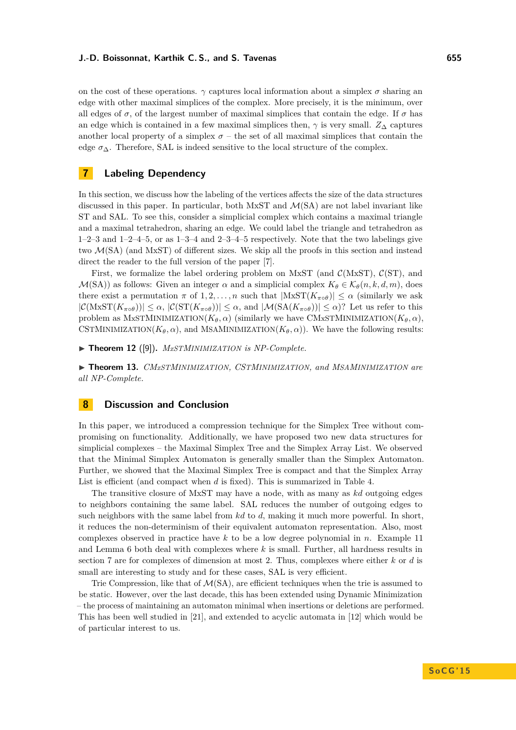on the cost of these operations.  $\gamma$  captures local information about a simplex  $\sigma$  sharing an edge with other maximal simplices of the complex. More precisely, it is the minimum, over all edges of  $\sigma$ , of the largest number of maximal simplices that contain the edge. If  $\sigma$  has an edge which is contained in a few maximal simplices then,  $\gamma$  is very small.  $Z_{\Delta}$  captures another local property of a simplex  $\sigma$  – the set of all maximal simplices that contain the edge  $\sigma_{\Delta}$ . Therefore, SAL is indeed sensitive to the local structure of the complex.

## <span id="page-13-0"></span>**7 Labeling Dependency**

In this section, we discuss how the labeling of the vertices affects the size of the data structures discussed in this paper. In particular, both MxST and  $\mathcal{M}(SA)$  are not label invariant like ST and SAL. To see this, consider a simplicial complex which contains a maximal triangle and a maximal tetrahedron, sharing an edge. We could label the triangle and tetrahedron as  $1-2-3$  and  $1-2-4-5$ , or as  $1-3-4$  and  $2-3-4-5$  respectively. Note that the two labelings give two  $\mathcal{M}(SA)$  (and MxST) of different sizes. We skip all the proofs in this section and instead direct the reader to the full version of the paper  $[7]$ .

First, we formalize the label ordering problem on MxST (and  $\mathcal{C}(MxST)$ ,  $\mathcal{C}(ST)$ , and  $\mathcal{M}(SA)$ ) as follows: Given an integer  $\alpha$  and a simplicial complex  $K_{\theta} \in \mathcal{K}_{\theta}(n, k, d, m)$ , does there exist a permutation  $\pi$  of 1, 2, ..., *n* such that  $|MxST(K_{\pi\circ\theta})| \leq \alpha$  (similarly we ask  $|\mathcal{C}(\text{MxST}(K_{\pi\circ\theta}))| \leq \alpha$ ,  $|\mathcal{C}(\text{ST}(K_{\pi\circ\theta}))| \leq \alpha$ , and  $|\mathcal{M}(\text{SA}(K_{\pi\circ\theta}))| \leq \alpha$ ? Let us refer to this problem as MxSTMINIMIZATION( $K_{\theta}$ *,*  $\alpha$ *)* (similarly we have CMxSTMINIMIZATION( $K_{\theta}$ *,*  $\alpha$ ), CSTMINIMIZATION( $K_{\theta}$ ,  $\alpha$ ), and MSAMINIMIZATION( $K_{\theta}$ ,  $\alpha$ )). We have the following results:

 $\triangleright$  **Theorem 12** ([\[9\]](#page-14-12)). *MxSTMINIMIZATION is NP-Complete.* 

<span id="page-13-1"></span>I **Theorem 13.** *CMxSTMINIMIZATION, CSTMINIMIZATION, and MSAMINIMIZATION are all NP-Complete.*

## **8 Discussion and Conclusion**

In this paper, we introduced a compression technique for the Simplex Tree without compromising on functionality. Additionally, we have proposed two new data structures for simplicial complexes – the Maximal Simplex Tree and the Simplex Array List. We observed that the Minimal Simplex Automaton is generally smaller than the Simplex Automaton. Further, we showed that the Maximal Simplex Tree is compact and that the Simplex Array List is efficient (and compact when *d* is fixed). This is summarized in Table [4.](#page-12-0)

The transitive closure of MxST may have a node, with as many as *kd* outgoing edges to neighbors containing the same label. SAL reduces the number of outgoing edges to such neighbors with the same label from *kd* to *d*, making it much more powerful. In short, it reduces the non-determinism of their equivalent automaton representation. Also, most complexes observed in practice have *k* to be a low degree polynomial in *n*. Example [11](#page-10-0) and Lemma [6](#page-6-4) both deal with complexes where *k* is small. Further, all hardness results in section [7](#page-13-0) are for complexes of dimension at most 2. Thus, complexes where either *k* or *d* is small are interesting to study and for these cases, SAL is very efficient.

Trie Compression, like that of  $\mathcal{M}(SA)$ , are efficient techniques when the trie is assumed to be static. However, over the last decade, this has been extended using Dynamic Minimization – the process of maintaining an automaton minimal when insertions or deletions are performed. This has been well studied in [\[21\]](#page-15-3), and extended to acyclic automata in [\[12\]](#page-14-13) which would be of particular interest to us.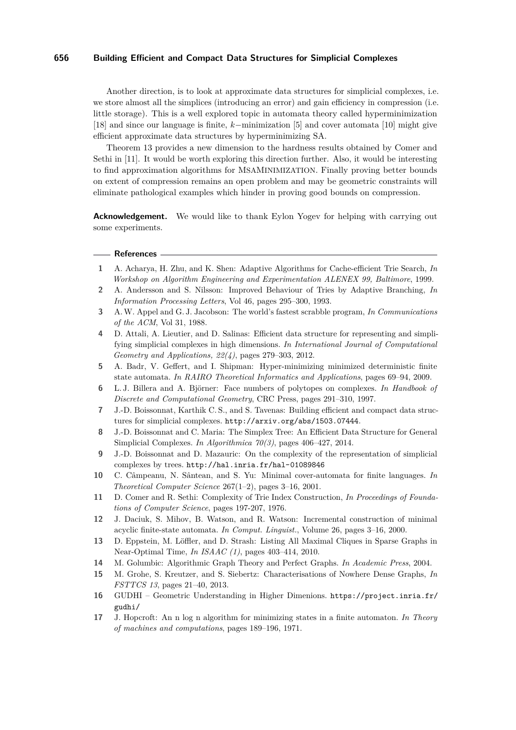Another direction, is to look at approximate data structures for simplicial complexes, i.e. we store almost all the simplices (introducing an error) and gain efficiency in compression (i.e. little storage). This is a well explored topic in automata theory called hyperminimization [\[18\]](#page-15-4) and since our language is finite, *k*−minimization [\[5\]](#page-14-14) and cover automata [\[10\]](#page-14-15) might give efficient approximate data structures by hyperminimizing SA.

Theorem [13](#page-13-1) provides a new dimension to the hardness results obtained by Comer and Sethi in [\[11\]](#page-14-16). It would be worth exploring this direction further. Also, it would be interesting to find approximation algorithms for MSAMINIMIZATION. Finally proving better bounds on extent of compression remains an open problem and may be geometric constraints will eliminate pathological examples which hinder in proving good bounds on compression.

**Acknowledgement.** We would like to thank Eylon Yogev for helping with carrying out some experiments.

#### **References**

- <span id="page-14-3"></span>**1** A. Acharya, H. Zhu, and K. Shen: Adaptive Algorithms for Cache-efficient Trie Search, *In Workshop on Algorithm Engineering and Experimentation ALENEX 99, Baltimore*, 1999.
- <span id="page-14-2"></span>**2** A. Andersson and S. Nilsson: Improved Behaviour of Tries by Adaptive Branching, *In Information Processing Letters*, Vol 46, pages 295–300, 1993.
- <span id="page-14-4"></span>**3** A.W. Appel and G. J. Jacobson: The world's fastest scrabble program, *In Communications of the ACM*, Vol 31, 1988.
- <span id="page-14-0"></span>**4** D. Attali, A. Lieutier, and D. Salinas: Efficient data structure for representing and simplifying simplicial complexes in high dimensions. *In International Journal of Computational Geometry and Applications, 22(4)*, pages 279–303, 2012.
- <span id="page-14-14"></span>**5** A. Badr, V. Geffert, and I. Shipman: Hyper-minimizing minimized deterministic finite state automata. *In RAIRO Theoretical Informatics and Applications*, pages 69–94, 2009.
- <span id="page-14-9"></span>**6** L. J. Billera and A. Björner: Face numbers of polytopes on complexes. *In Handbook of Discrete and Computational Geometry*, CRC Press, pages 291–310, 1997.
- <span id="page-14-5"></span>**7** J.-D. Boissonnat, Karthik C. S., and S. Tavenas: Building efficient and compact data structures for simplicial complexes. <http://arxiv.org/abs/1503.07444>.
- <span id="page-14-1"></span>**8** J.-D. Boissonnat and C. Maria: The Simplex Tree: An Efficient Data Structure for General Simplicial Complexes. *In Algorithmica 70(3)*, pages 406–427, 2014.
- <span id="page-14-12"></span>**9** J.-D. Boissonnat and D. Mazauric: On the complexity of the representation of simplicial complexes by trees. <http://hal.inria.fr/hal-01089846>
- <span id="page-14-15"></span>**10** C. Câmpeanu, N. Sântean, and S. Yu: Minimal cover-automata for finite languages. *In Theoretical Computer Science* 267(1–2), pages 3–16, 2001.
- <span id="page-14-16"></span>**11** D. Comer and R. Sethi: Complexity of Trie Index Construction, *In Proceedings of Foundations of Computer Science*, pages 197-207, 1976.
- <span id="page-14-13"></span>**12** J. Daciuk, S. Mihov, B. Watson, and R. Watson: Incremental construction of minimal acyclic finite-state automata. *In Comput. Linguist.*, Volume 26, pages 3–16, 2000.
- <span id="page-14-6"></span>**13** D. Eppstein, M. Löffler, and D. Strash: Listing All Maximal Cliques in Sparse Graphs in Near-Optimal Time, *In ISAAC (1)*, pages 403–414, 2010.
- <span id="page-14-8"></span>**14** M. Golumbic: Algorithmic Graph Theory and Perfect Graphs. *In Academic Press*, 2004.
- <span id="page-14-7"></span>**15** M. Grohe, S. Kreutzer, and S. Siebertz: Characterisations of Nowhere Dense Graphs, *In FSTTCS 13*, pages 21–40, 2013.
- <span id="page-14-11"></span>**16** GUDHI – Geometric Understanding in Higher Dimenions. [https://project.inria.fr/](https://project.inria.fr/gudhi/) [gudhi/](https://project.inria.fr/gudhi/)
- <span id="page-14-10"></span>**17** J. Hopcroft: An n log n algorithm for minimizing states in a finite automaton. *In Theory of machines and computations*, pages 189–196, 1971.